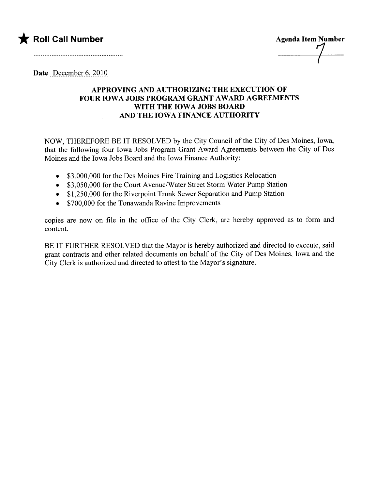

Date December 6, 2010

## APPROVING AND AUTHORIZING THE EXECUTION OF FOUR IOWA JOBS PROGRAM GRANT AWARD AGREEMENTS WITH THE IOWA JOBS BOARD AND THE IOWA FINANCE AUTHORITY

NOW, THEREFORE BE IT RESOLVED by the City Council of the City of Des Moines, Iowa, that the following four Iowa Jobs Program Grant Award Agreements between the City of Des Moines and the Iowa Jobs Board and the Iowa Finance Authority:

- \$3,000,000 for the Des Moines Fire Training and Logistics Relocation
- . \$3,050,000 for the Court Avenue/Water Street Storm Water Pump Station
- \$1,250,000 for the Riverpoint Trunk Sewer Separation and Pump Station
- \$700,000 for the Tonawanda Ravine Improvements

copies are now on file in the office of the City Clerk, are hereby approved as to form and content.

BE IT FURTHER RESOLVED that the Mayor is hereby authorized and directed to execute, said grant contracts and other related documents on behalf of the City of Des Moines, Iowa and the City Clerk is authorized and directed to attest to the Mayor's signature.